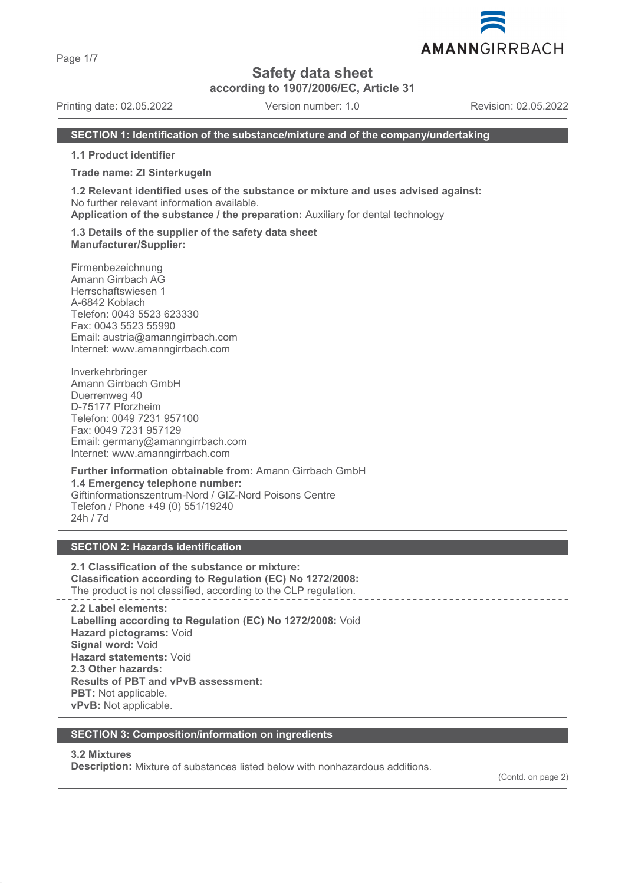Page 1/7

# **Safety data sheet**

**according to 1907/2006/EC, Article 31**

Printing date: 02.05.2022 Version number: 1.0 Revision: 02.05.2022

AMANNGIRRBACH

### **SECTION 1: Identification of the substance/mixture and of the company/undertaking**

**1.1 Product identifier**

#### **Trade name: ZI Sinterkugeln**

**1.2 Relevant identified uses of the substance or mixture and uses advised against:** No further relevant information available.

**Application of the substance / the preparation:** Auxiliary for dental technology

#### **1.3 Details of the supplier of the safety data sheet Manufacturer/Supplier:**

Firmenbezeichnung Amann Girrbach AG Herrschaftswiesen 1 A-6842 Koblach Telefon: 0043 5523 623330 Fax: 0043 5523 55990 Email: austria@amanngirrbach.com Internet: www.amanngirrbach.com

Inverkehrbringer Amann Girrbach GmbH Duerrenweg 40 D-75177 Pforzheim Telefon: 0049 7231 957100 Fax: 0049 7231 957129 Email: germany@amanngirrbach.com Internet: www.amanngirrbach.com

**Further information obtainable from:** Amann Girrbach GmbH **1.4 Emergency telephone number:** Giftinformationszentrum-Nord / GIZ-Nord Poisons Centre Telefon / Phone +49 (0) 551/19240 24h / 7d

# **SECTION 2: Hazards identification**

**2.1 Classification of the substance or mixture: Classification according to Regulation (EC) No 1272/2008:** The product is not classified, according to the CLP regulation.

**2.2 Label elements: Labelling according to Regulation (EC) No 1272/2008:** Void **Hazard pictograms:** Void **Signal word:** Void **Hazard statements:** Void **2.3 Other hazards: Results of PBT and vPvB assessment: PBT:** Not applicable. **vPvB:** Not applicable.

### **SECTION 3: Composition/information on ingredients**

## **3.2 Mixtures**

**Description:** Mixture of substances listed below with nonhazardous additions.

(Contd. on page 2)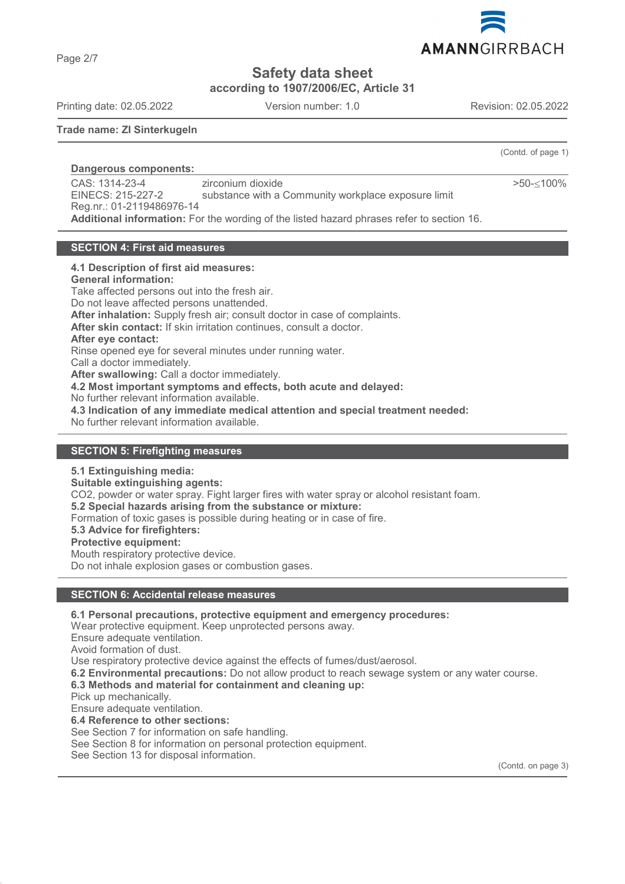

**according to 1907/2006/EC, Article 31**

Printing date: 02.05.2022 Version number: 1.0 Revision: 02.05.2022

**Trade name: ZI Sinterkugeln**

**Dangerous components:** 

CAS: 1314-23-4 EINECS: 215-227-2 Reg.nr.: 01-2119486976-14 zirconium dioxide substance with a Community workplace exposure limit **Additional information:** For the wording of the listed hazard phrases refer to section 16.

# **SECTION 4: First aid measures**

### **4.1 Description of first aid measures:**

**General information:**

Take affected persons out into the fresh air. Do not leave affected persons unattended. **After inhalation:** Supply fresh air; consult doctor in case of complaints. **After skin contact:** If skin irritation continues, consult a doctor. **After eye contact:** Rinse opened eye for several minutes under running water. Call a doctor immediately. **After swallowing:** Call a doctor immediately. **4.2 Most important symptoms and effects, both acute and delayed:** No further relevant information available. **4.3 Indication of any immediate medical attention and special treatment needed:** No further relevant information available.

### **SECTION 5: Firefighting measures**

**5.1 Extinguishing media:**

**Suitable extinguishing agents:**

CO2, powder or water spray. Fight larger fires with water spray or alcohol resistant foam.

**5.2 Special hazards arising from the substance or mixture:**

Formation of toxic gases is possible during heating or in case of fire.

**5.3 Advice for firefighters:**

### **Protective equipment:**

Mouth respiratory protective device. Do not inhale explosion gases or combustion gases.

# **SECTION 6: Accidental release measures**

**6.1 Personal precautions, protective equipment and emergency procedures:**

Wear protective equipment. Keep unprotected persons away.

Ensure adequate ventilation.

Avoid formation of dust.

Use respiratory protective device against the effects of fumes/dust/aerosol.

**6.2 Environmental precautions:** Do not allow product to reach sewage system or any water course.

**6.3 Methods and material for containment and cleaning up:**

Pick up mechanically.

Ensure adequate ventilation.

**6.4 Reference to other sections:**

See Section 7 for information on safe handling.

See Section 8 for information on personal protection equipment.

See Section 13 for disposal information.

(Contd. on page 3)

(Contd. of page 1) >50-≤100%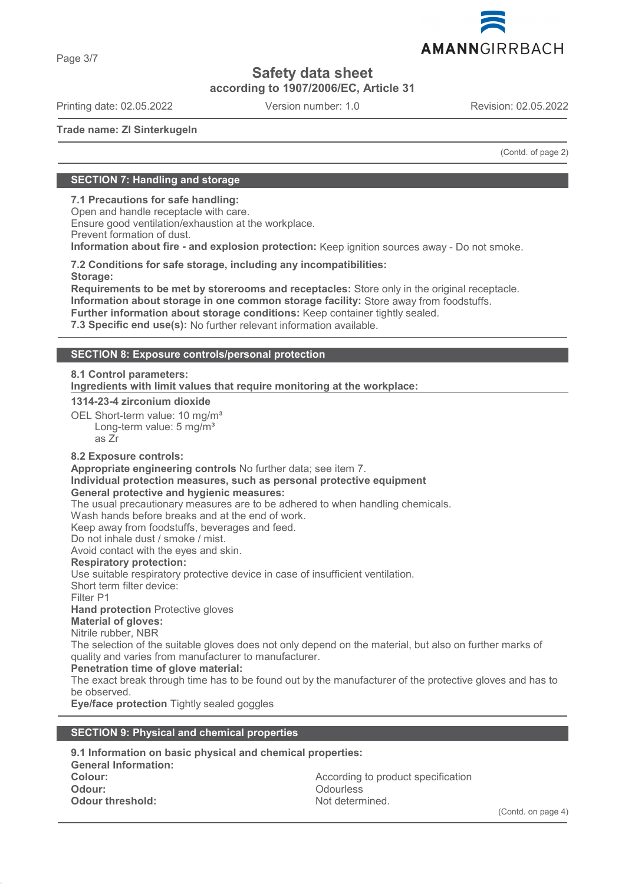

**according to 1907/2006/EC, Article 31**

Printing date: 02.05.2022 Version number: 1.0 Revision: 02.05.2022

AMANNGIRRBACH

**Trade name: ZI Sinterkugeln**

(Contd. of page 2)

# **SECTION 7: Handling and storage**

**7.1 Precautions for safe handling:**

Open and handle receptacle with care. Ensure good ventilation/exhaustion at the workplace. Prevent formation of dust.

**Information about fire - and explosion protection:** Keep ignition sources away - Do not smoke.

**7.2 Conditions for safe storage, including any incompatibilities: Storage:**

**Requirements to be met by storerooms and receptacles:** Store only in the original receptacle. **Information about storage in one common storage facility:** Store away from foodstuffs. **Further information about storage conditions:** Keep container tightly sealed.

**7.3 Specific end use(s):** No further relevant information available.

# **SECTION 8: Exposure controls/personal protection**

### **8.1 Control parameters:**

**Ingredients with limit values that require monitoring at the workplace:** 

### **1314-23-4 zirconium dioxide**

OEL Short-term value: 10 mg/m<sup>3</sup> Long-term value: 5 mg/m<sup>3</sup> as Zr

# **8.2 Exposure controls:**

**Appropriate engineering controls** No further data; see item 7.

#### **Individual protection measures, such as personal protective equipment General protective and hygienic measures:**

The usual precautionary measures are to be adhered to when handling chemicals.

Wash hands before breaks and at the end of work.

Keep away from foodstuffs, beverages and feed.

Do not inhale dust / smoke / mist.

Avoid contact with the eyes and skin.

### **Respiratory protection:**

Use suitable respiratory protective device in case of insufficient ventilation.

Short term filter device:

Filter P1

# **Hand protection** Protective gloves

**Material of gloves:**

Nitrile rubber, NBR

The selection of the suitable gloves does not only depend on the material, but also on further marks of quality and varies from manufacturer to manufacturer.

# **Penetration time of glove material:**

The exact break through time has to be found out by the manufacturer of the protective gloves and has to be observed.

**Eye/face protection** Tightly sealed goggles

# **SECTION 9: Physical and chemical properties**

| 9.1 Information on basic physical and chemical properties: |                                    |  |
|------------------------------------------------------------|------------------------------------|--|
| <b>General Information:</b>                                |                                    |  |
| Colour:                                                    | According to product specification |  |
| Odour:                                                     | <b>Odourless</b>                   |  |
| Odour threshold:                                           | Not determined.                    |  |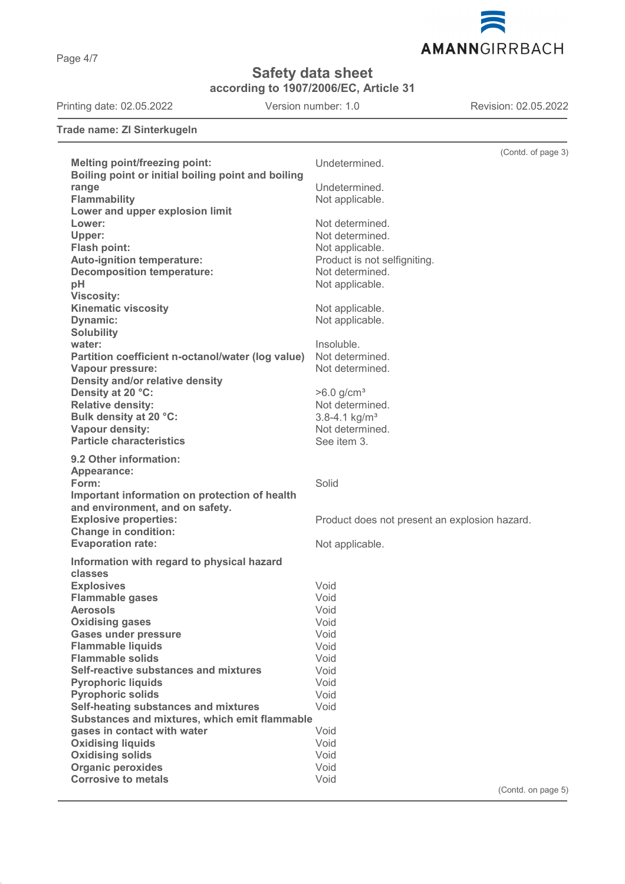Page 4/7



**Safety data sheet**

**according to 1907/2006/EC, Article 31**

Printing date: 02.05.2022 Version number: 1.0 Revision: 02.05.2022

**Trade name: ZI Sinterkugeln**

|                                                    | (Contd. of page 3)                            |
|----------------------------------------------------|-----------------------------------------------|
| <b>Melting point/freezing point:</b>               | Undetermined.                                 |
| Boiling point or initial boiling point and boiling |                                               |
| range                                              | Undetermined.                                 |
| <b>Flammability</b>                                | Not applicable.                               |
| Lower and upper explosion limit                    |                                               |
|                                                    |                                               |
| Lower:                                             | Not determined.                               |
| Upper:                                             | Not determined.                               |
| Flash point:                                       | Not applicable.                               |
| Auto-ignition temperature:                         | Product is not selfigniting.                  |
| <b>Decomposition temperature:</b>                  | Not determined.                               |
| pH                                                 | Not applicable.                               |
| <b>Viscosity:</b>                                  |                                               |
| <b>Kinematic viscosity</b>                         |                                               |
|                                                    | Not applicable.                               |
| Dynamic:                                           | Not applicable.                               |
| <b>Solubility</b>                                  |                                               |
| water:                                             | Insoluble.                                    |
| Partition coefficient n-octanol/water (log value)  | Not determined.                               |
| <b>Vapour pressure:</b>                            | Not determined.                               |
| Density and/or relative density                    |                                               |
| Density at 20 °C:                                  | $>6.0$ g/cm <sup>3</sup>                      |
| <b>Relative density:</b>                           | Not determined.                               |
| Bulk density at 20 °C:                             | $3.8 - 4.1$ kg/m <sup>3</sup>                 |
|                                                    |                                               |
| Vapour density:                                    | Not determined.                               |
| <b>Particle characteristics</b>                    | See item 3.                                   |
| 9.2 Other information:                             |                                               |
| Appearance:                                        |                                               |
| Form:                                              | Solid                                         |
| Important information on protection of health      |                                               |
| and environment, and on safety.                    |                                               |
|                                                    |                                               |
| <b>Explosive properties:</b>                       | Product does not present an explosion hazard. |
| <b>Change in condition:</b>                        |                                               |
| <b>Evaporation rate:</b>                           | Not applicable.                               |
| Information with regard to physical hazard         |                                               |
| classes                                            |                                               |
| <b>Explosives</b>                                  | Void                                          |
| <b>Flammable gases</b>                             | Void                                          |
| <b>Aerosols</b>                                    | Void                                          |
| <b>Oxidising gases</b>                             | Void                                          |
| <b>Gases under pressure</b>                        | Void                                          |
| <b>Flammable liquids</b>                           | Void                                          |
| <b>Flammable solids</b>                            | Void                                          |
|                                                    |                                               |
| Self-reactive substances and mixtures              | Void                                          |
| <b>Pyrophoric liquids</b>                          | Void                                          |
| <b>Pyrophoric solids</b>                           | Void                                          |
| Self-heating substances and mixtures               | Void                                          |
| Substances and mixtures, which emit flammable      |                                               |
| gases in contact with water                        | Void                                          |
| <b>Oxidising liquids</b>                           | Void                                          |
| <b>Oxidising solids</b>                            | Void                                          |
| <b>Organic peroxides</b>                           | Void                                          |
| <b>Corrosive to metals</b>                         | Void                                          |
|                                                    | (Contd. on page 5)                            |
|                                                    |                                               |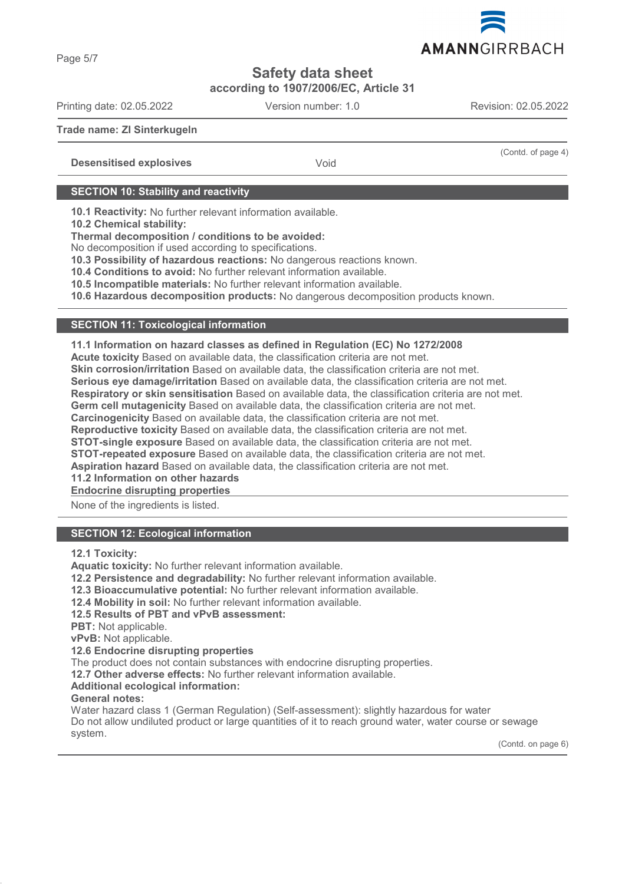

**according to 1907/2006/EC, Article 31**

Printing date: 02.05.2022 Version number: 1.0 Revision: 02.05.2022

**Trade name: ZI Sinterkugeln** (Contd. of page 4) **Desensitised explosives** Void **SECTION 10: Stability and reactivity 10.1 Reactivity:** No further relevant information available. **10.2 Chemical stability:**

**Thermal decomposition / conditions to be avoided:**

No decomposition if used according to specifications.

**10.3 Possibility of hazardous reactions:** No dangerous reactions known.

**10.4 Conditions to avoid:** No further relevant information available.

**10.5 Incompatible materials:** No further relevant information available.

**10.6 Hazardous decomposition products:** No dangerous decomposition products known.

# **SECTION 11: Toxicological information**

**11.1 Information on hazard classes as defined in Regulation (EC) No 1272/2008**

**Acute toxicity** Based on available data, the classification criteria are not met.

**Skin corrosion/irritation** Based on available data, the classification criteria are not met.

**Serious eye damage/irritation** Based on available data, the classification criteria are not met.

**Respiratory or skin sensitisation** Based on available data, the classification criteria are not met.

**Germ cell mutagenicity** Based on available data, the classification criteria are not met.

**Carcinogenicity** Based on available data, the classification criteria are not met.

**Reproductive toxicity** Based on available data, the classification criteria are not met.

**STOT-single exposure** Based on available data, the classification criteria are not met.

**STOT-repeated exposure** Based on available data, the classification criteria are not met.

**Aspiration hazard** Based on available data, the classification criteria are not met.

**11.2 Information on other hazards**

**Endocrine disrupting properties** 

None of the ingredients is listed.

# **SECTION 12: Ecological information**

**12.1 Toxicity:**

**Aquatic toxicity:** No further relevant information available.

**12.2 Persistence and degradability:** No further relevant information available.

**12.3 Bioaccumulative potential:** No further relevant information available.

**12.4 Mobility in soil:** No further relevant information available.

**12.5 Results of PBT and vPvB assessment:**

**PBT:** Not applicable.

**vPvB:** Not applicable.

**12.6 Endocrine disrupting properties**

The product does not contain substances with endocrine disrupting properties.

**12.7 Other adverse effects:** No further relevant information available.

### **Additional ecological information:**

### **General notes:**

Water hazard class 1 (German Regulation) (Self-assessment): slightly hazardous for water Do not allow undiluted product or large quantities of it to reach ground water, water course or sewage system.

(Contd. on page 6)

Page 5/7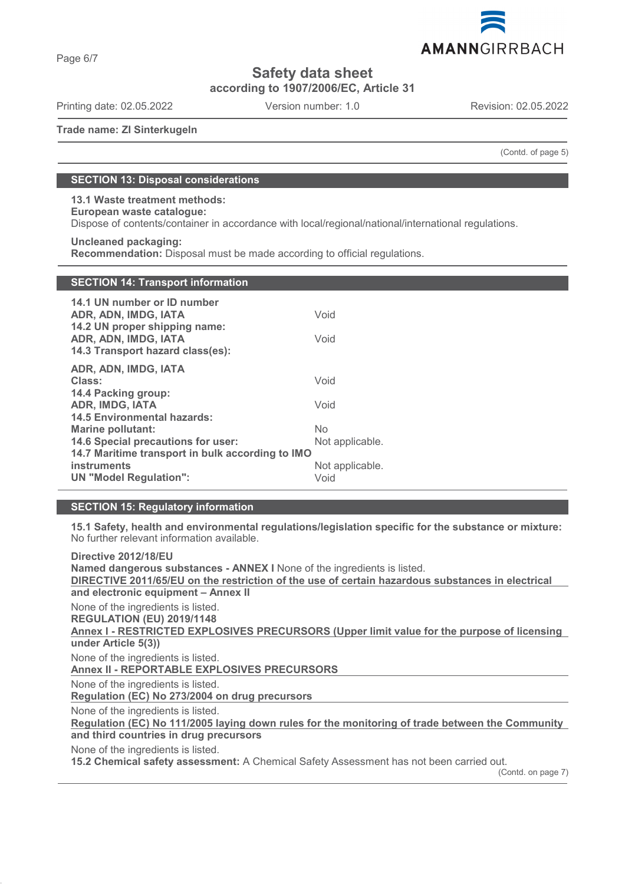

**according to 1907/2006/EC, Article 31**

Printing date: 02.05.2022 Version number: 1.0 Revision: 02.05.2022

**Trade name: ZI Sinterkugeln**

(Contd. of page 5)

# **SECTION 13: Disposal considerations**

**13.1 Waste treatment methods: European waste catalogue:**

Dispose of contents/container in accordance with local/regional/national/international regulations.

### **Uncleaned packaging:**

**Recommendation:** Disposal must be made according to official regulations.

| <b>SECTION 14: Transport information</b> |
|------------------------------------------|
|                                          |

| 14.1 UN number or ID number<br>ADR, ADN, IMDG, IATA<br>14.2 UN proper shipping name:<br>ADR, ADN, IMDG, IATA<br>14.3 Transport hazard class(es): | Void<br>Void    |  |
|--------------------------------------------------------------------------------------------------------------------------------------------------|-----------------|--|
| ADR, ADN, IMDG, IATA<br>Class:<br>14.4 Packing group:                                                                                            | Void            |  |
| ADR, IMDG, IATA<br><b>14.5 Environmental hazards:</b>                                                                                            | Void            |  |
| Marine pollutant:                                                                                                                                | <b>No</b>       |  |
| <b>14.6 Special precautions for user:</b>                                                                                                        | Not applicable. |  |
| 14.7 Maritime transport in bulk according to IMO                                                                                                 |                 |  |
| <b>instruments</b>                                                                                                                               | Not applicable. |  |
| <b>UN "Model Regulation":</b>                                                                                                                    | Void            |  |

### **SECTION 15: Regulatory information**

**15.1 Safety, health and environmental regulations/legislation specific for the substance or mixture:** No further relevant information available.

**Directive 2012/18/EU Named dangerous substances - ANNEX I** None of the ingredients is listed. **DIRECTIVE 2011/65/EU on the restriction of the use of certain hazardous substances in electrical and electronic equipment – Annex II** None of the ingredients is listed. **REGULATION (EU) 2019/1148** Annex I - RESTRICTED EXPLOSIVES PRECURSORS (Upper limit value for the purpose of licensing **under Article 5(3))** None of the ingredients is listed. **Annex II - REPORTABLE EXPLOSIVES PRECURSORS**  None of the ingredients is listed. **Regulation (EC) No 273/2004 on drug precursors**  None of the ingredients is listed. Regulation (EC) No 111/2005 laying down rules for the monitoring of trade between the Community **and third countries in drug precursors** None of the ingredients is listed. **15.2 Chemical safety assessment:** A Chemical Safety Assessment has not been carried out. (Contd. on page 7)